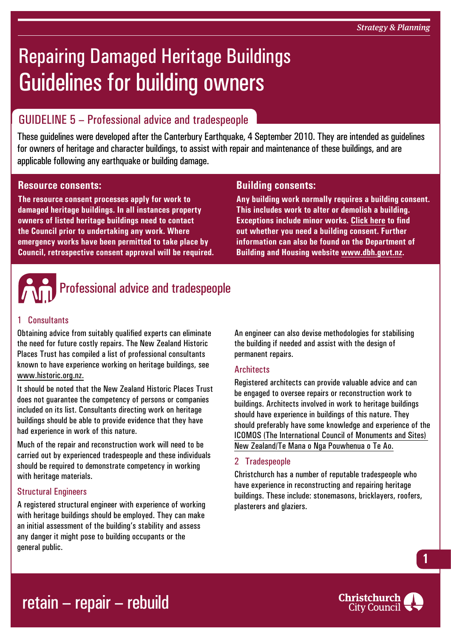# Repairing Damaged Heritage Buildings Guidelines for building owners

### GUIDELINE 5 – Professional advice and tradespeople

These guidelines were developed after the Canterbury Earthquake, 4 September 2010. They are intended as guidelines for owners of heritage and character buildings, to assist with repair and maintenance of these buildings, and are applicable following any earthquake or building damage.

#### **Resource consents:**

**The resource consent processes apply for work to damaged heritage buildings. In all instances property owners of listed heritage buildings need to contact the Council prior to undertaking any work. Where emergency works have been permitted to take place by Council, retrospective consent approval will be required.**

#### **Building consents:**

**Any building work normally requires a building consent. This includes work to alter or demolish a building. Exceptions include minor works. [Click here](http://www.ccc.govt.nz/homeliving/buildingplanning/buildingconsents/index.aspx) to find out whether you need a building consent. Further information can also be found on the Department of Building and Housing website [www.dbh.govt.nz](http://www.dbh.govt.nz).**



#### 1 Consultants

Obtaining advice from suitably qualified experts can eliminate the need for future costly repairs. The New Zealand Historic Places Trust has compiled a list of professional consultants known to have experience working on heritage buildings, see <www.historic.org.nz>.

It should be noted that the New Zealand Historic Places Trust does not guarantee the competency of persons or companies included on its list. Consultants directing work on heritage buildings should be able to provide evidence that they have had experience in work of this nature.

Much of the repair and reconstruction work will need to be carried out by experienced tradespeople and these individuals should be required to demonstrate competency in working with heritage materials.

#### Structural Engineers

A registered structural engineer with experience of working with heritage buildings should be employed. They can make an initial assessment of the building's stability and assess any danger it might pose to building occupants or the general public.

An engineer can also devise methodologies for stabilising the building if needed and assist with the design of permanent repairs.

#### **Architects**

Registered architects can provide valuable advice and can be engaged to oversee repairs or reconstruction work to buildings. Architects involved in work to heritage buildings should have experience in buildings of this nature. They should preferably have some knowledge and experience of [the](http://www.icomos.org.nz/icomosnz.html)  [ICOMOS \(The International Council of Monuments and Sites\)](http://www.icomos.org.nz/icomosnz.html)  [New Zealand/Te Mana o Nga Pouwhenua o Te Ao.](http://www.icomos.org.nz/icomosnz.html)

#### 2 Tradespeople

Christchurch has a number of reputable tradespeople who have experience in reconstructing and repairing heritage buildings. These include: stonemasons, bricklayers, roofers, plasterers and glaziers.





**1**